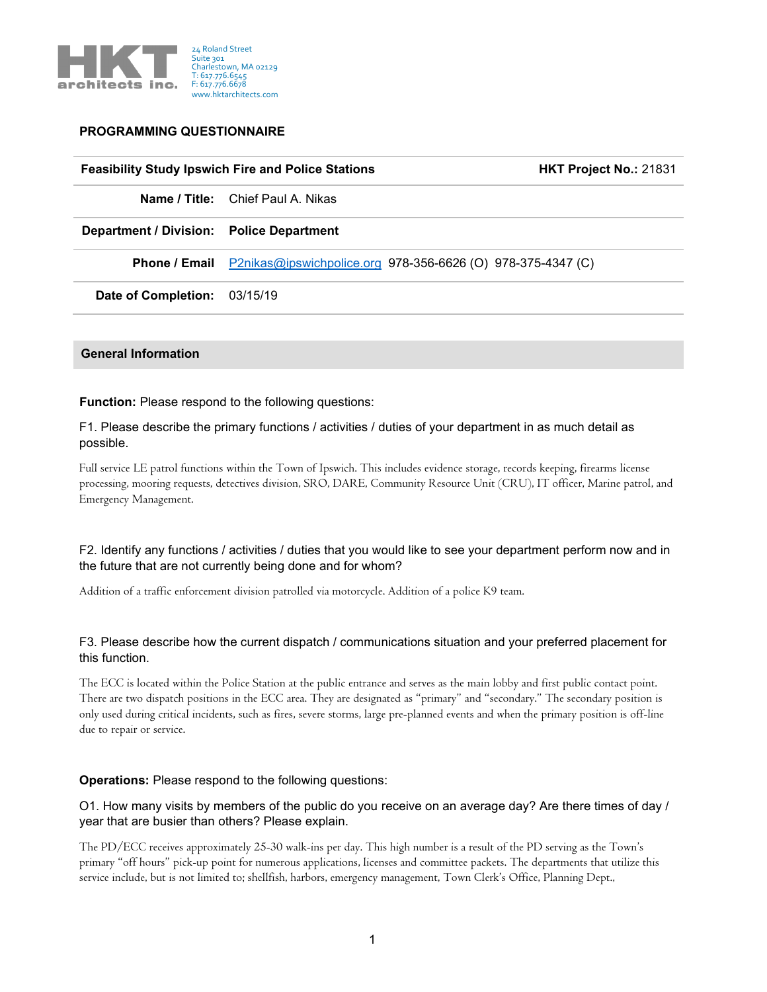

## **PROGRAMMING QUESTIONNAIRE**

#### **Feasibility Study Ipswich Fire and Police Stations HKT Project No.:** 21831

**Name / Title:** Chief Paul A. Nikas

**Department / Division: Police Department**

**Phone / Email** [P2nikas@ipswichpolice.org](mailto:P2nikas@ipswichpolice.org) 978-356-6626 (O) 978-375-4347 (C)

**Date of Completion:** 03/15/19

#### **General Information**

## **Function:** Please respond to the following questions:

F1. Please describe the primary functions / activities / duties of your department in as much detail as possible.

Full service LE patrol functions within the Town of Ipswich. This includes evidence storage, records keeping, firearms license processing, mooring requests, detectives division, SRO, DARE, Community Resource Unit (CRU), IT officer, Marine patrol, and Emergency Management.

# F2. Identify any functions / activities / duties that you would like to see your department perform now and in the future that are not currently being done and for whom?

Addition of a traffic enforcement division patrolled via motorcycle. Addition of a police K9 team.

## F3. Please describe how the current dispatch / communications situation and your preferred placement for this function.

The ECC is located within the Police Station at the public entrance and serves as the main lobby and first public contact point. There are two dispatch positions in the ECC area. They are designated as "primary" and "secondary." The secondary position is only used during critical incidents, such as fires, severe storms, large pre-planned events and when the primary position is off-line due to repair or service.

## **Operations:** Please respond to the following questions:

O1. How many visits by members of the public do you receive on an average day? Are there times of day / year that are busier than others? Please explain.

The PD/ECC receives approximately 25-30 walk-ins per day. This high number is a result of the PD serving as the Town's primary "off hours" pick-up point for numerous applications, licenses and committee packets. The departments that utilize this service include, but is not limited to; shellfish, harbors, emergency management, Town Clerk's Office, Planning Dept.,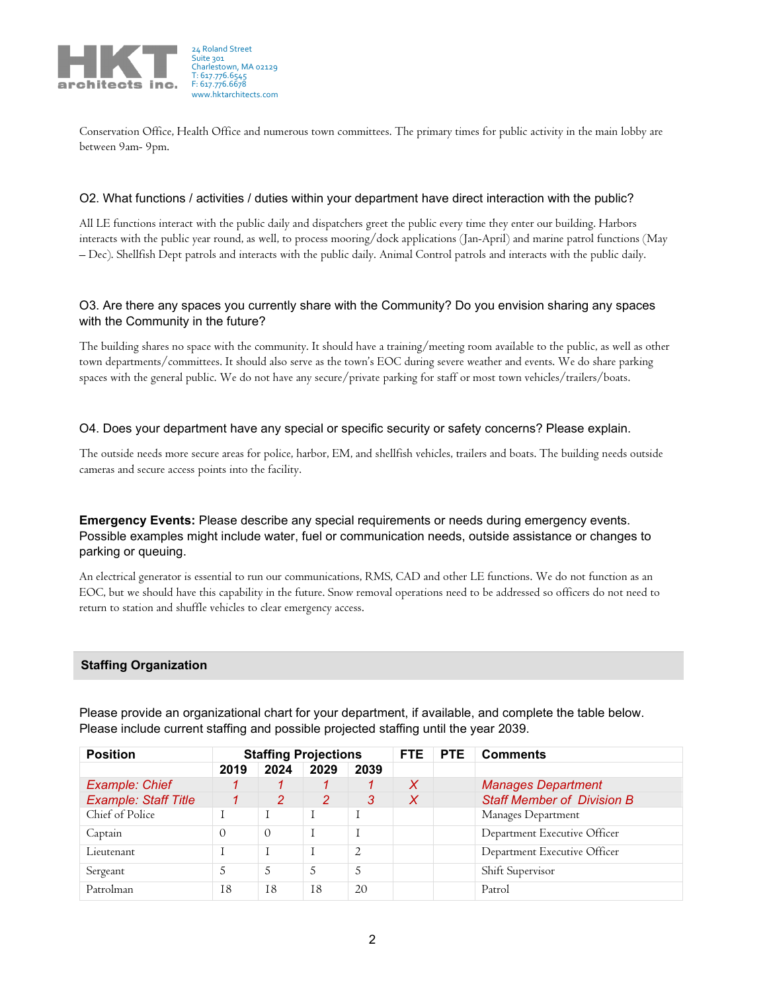

Conservation Office, Health Office and numerous town committees. The primary times for public activity in the main lobby are between 9am- 9pm.

#### O2. What functions / activities / duties within your department have direct interaction with the public?

All LE functions interact with the public daily and dispatchers greet the public every time they enter our building. Harbors interacts with the public year round, as well, to process mooring/dock applications (Jan-April) and marine patrol functions (May – Dec). Shellfish Dept patrols and interacts with the public daily. Animal Control patrols and interacts with the public daily.

## O3. Are there any spaces you currently share with the Community? Do you envision sharing any spaces with the Community in the future?

The building shares no space with the community. It should have a training/meeting room available to the public, as well as other town departments/committees. It should also serve as the town's EOC during severe weather and events. We do share parking spaces with the general public. We do not have any secure/private parking for staff or most town vehicles/trailers/boats.

## O4. Does your department have any special or specific security or safety concerns? Please explain.

The outside needs more secure areas for police, harbor, EM, and shellfish vehicles, trailers and boats. The building needs outside cameras and secure access points into the facility.

**Emergency Events:** Please describe any special requirements or needs during emergency events. Possible examples might include water, fuel or communication needs, outside assistance or changes to parking or queuing.

An electrical generator is essential to run our communications, RMS, CAD and other LE functions. We do not function as an EOC, but we should have this capability in the future. Snow removal operations need to be addressed so officers do not need to return to station and shuffle vehicles to clear emergency access.

#### **Staffing Organization**

| <b>Position</b>             |          | <b>Staffing Projections</b> |                |                | FTE. | <b>PTE</b> | <b>Comments</b>                   |  |  |
|-----------------------------|----------|-----------------------------|----------------|----------------|------|------------|-----------------------------------|--|--|
|                             | 2019     | 2024                        | 2029           | 2039           |      |            |                                   |  |  |
| Example: Chief              |          |                             |                |                | X    |            | <b>Manages Department</b>         |  |  |
| <b>Example: Staff Title</b> |          | 2                           | $\overline{2}$ | 3              | X    |            | <b>Staff Member of Division B</b> |  |  |
| Chief of Police             |          |                             |                |                |      |            | Manages Department                |  |  |
| Captain                     | $\Omega$ | $\Omega$                    |                |                |      |            | Department Executive Officer      |  |  |
| Lieutenant                  |          |                             |                | $\overline{2}$ |      |            | Department Executive Officer      |  |  |
| Sergeant                    | 5        | 5                           | 5              | 5              |      |            | Shift Supervisor                  |  |  |
| Patrolman                   | 18       | 18                          | 18             | 20             |      |            | Patrol                            |  |  |

Please provide an organizational chart for your department, if available, and complete the table below. Please include current staffing and possible projected staffing until the year 2039.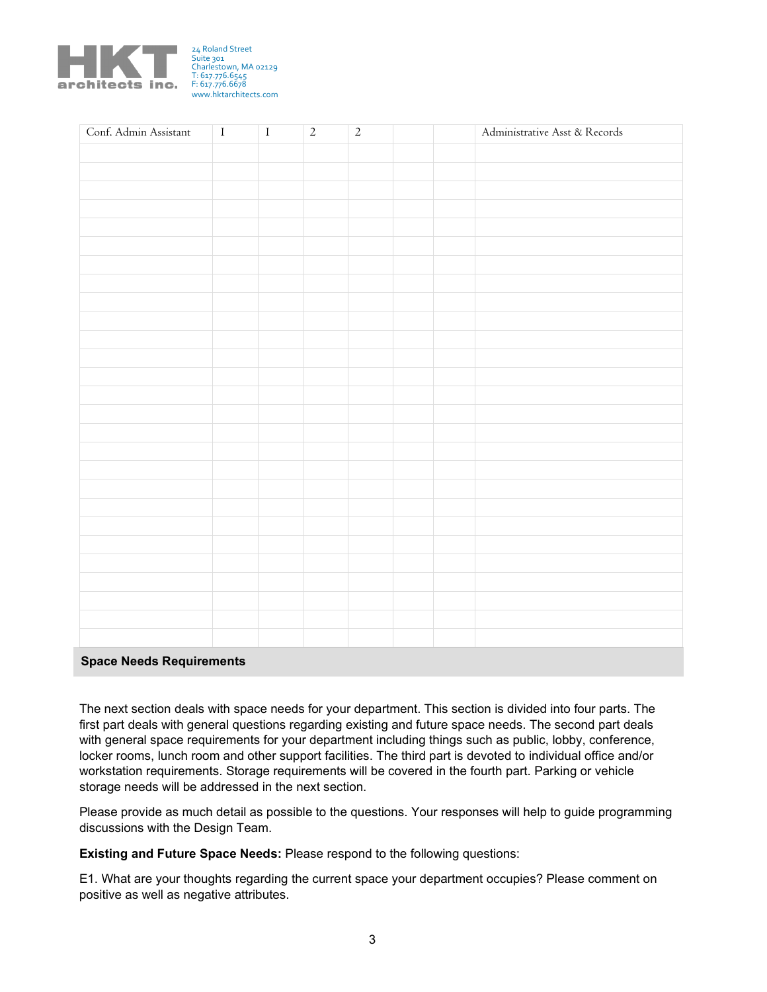

| Conf. Admin Assistant    | $\mathbf I$ | $\mathbf I$ | $\overline{2}$ | $\overline{2}$ |  | Administrative Asst & Records |
|--------------------------|-------------|-------------|----------------|----------------|--|-------------------------------|
|                          |             |             |                |                |  |                               |
|                          |             |             |                |                |  |                               |
|                          |             |             |                |                |  |                               |
|                          |             |             |                |                |  |                               |
|                          |             |             |                |                |  |                               |
|                          |             |             |                |                |  |                               |
|                          |             |             |                |                |  |                               |
|                          |             |             |                |                |  |                               |
|                          |             |             |                |                |  |                               |
|                          |             |             |                |                |  |                               |
|                          |             |             |                |                |  |                               |
|                          |             |             |                |                |  |                               |
|                          |             |             |                |                |  |                               |
|                          |             |             |                |                |  |                               |
|                          |             |             |                |                |  |                               |
|                          |             |             |                |                |  |                               |
|                          |             |             |                |                |  |                               |
|                          |             |             |                |                |  |                               |
|                          |             |             |                |                |  |                               |
|                          |             |             |                |                |  |                               |
|                          |             |             |                |                |  |                               |
|                          |             |             |                |                |  |                               |
|                          |             |             |                |                |  |                               |
|                          |             |             |                |                |  |                               |
|                          |             |             |                |                |  |                               |
|                          |             |             |                |                |  |                               |
| Snace Needs Pequirements |             |             |                |                |  |                               |

## **Space Needs Requirements**

The next section deals with space needs for your department. This section is divided into four parts. The first part deals with general questions regarding existing and future space needs. The second part deals with general space requirements for your department including things such as public, lobby, conference, locker rooms, lunch room and other support facilities. The third part is devoted to individual office and/or workstation requirements. Storage requirements will be covered in the fourth part. Parking or vehicle storage needs will be addressed in the next section.

Please provide as much detail as possible to the questions. Your responses will help to guide programming discussions with the Design Team.

**Existing and Future Space Needs:** Please respond to the following questions:

E1. What are your thoughts regarding the current space your department occupies? Please comment on positive as well as negative attributes.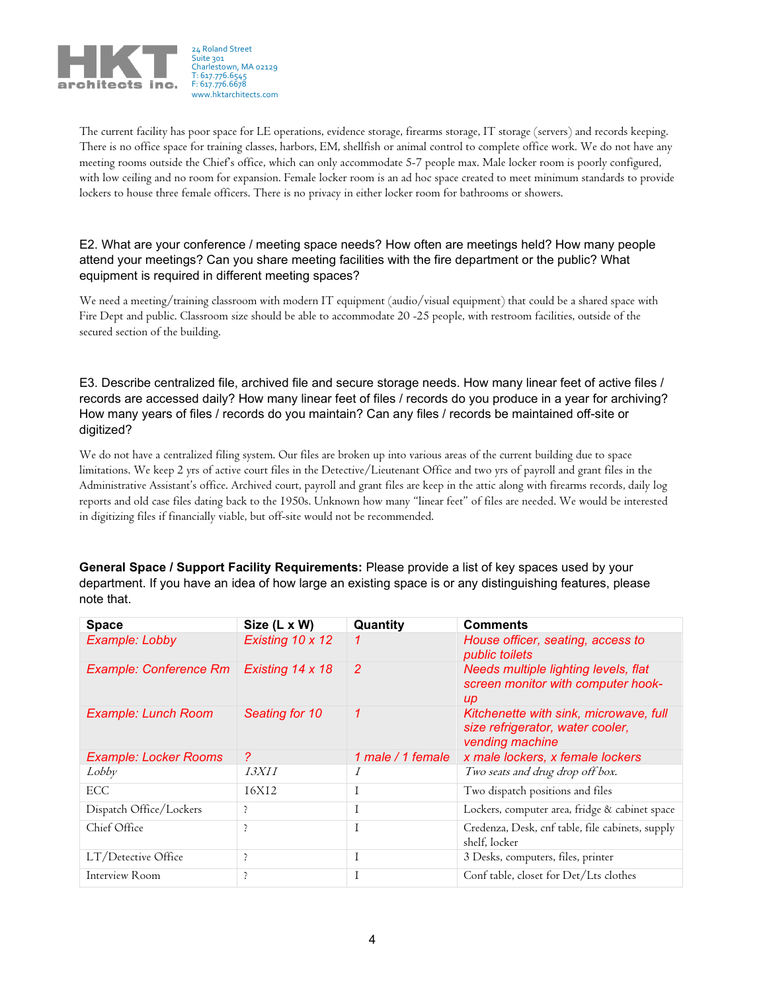

The current facility has poor space for LE operations, evidence storage, firearms storage, IT storage (servers) and records keeping. There is no office space for training classes, harbors, EM, shellfish or animal control to complete office work. We do not have any meeting rooms outside the Chief's office, which can only accommodate 5-7 people max. Male locker room is poorly configured, with low ceiling and no room for expansion. Female locker room is an ad hoc space created to meet minimum standards to provide lockers to house three female officers. There is no privacy in either locker room for bathrooms or showers.

# E2. What are your conference / meeting space needs? How often are meetings held? How many people attend your meetings? Can you share meeting facilities with the fire department or the public? What equipment is required in different meeting spaces?

We need a meeting/training classroom with modern IT equipment (audio/visual equipment) that could be a shared space with Fire Dept and public. Classroom size should be able to accommodate 20 -25 people, with restroom facilities, outside of the secured section of the building.

E3. Describe centralized file, archived file and secure storage needs. How many linear feet of active files / records are accessed daily? How many linear feet of files / records do you produce in a year for archiving? How many years of files / records do you maintain? Can any files / records be maintained off-site or digitized?

We do not have a centralized filing system. Our files are broken up into various areas of the current building due to space limitations. We keep 2 yrs of active court files in the Detective/Lieutenant Office and two yrs of payroll and grant files in the Administrative Assistant's office. Archived court, payroll and grant files are keep in the attic along with firearms records, daily log reports and old case files dating back to the 1950s. Unknown how many "linear feet" of files are needed. We would be interested in digitizing files if financially viable, but off-site would not be recommended.

**General Space / Support Facility Requirements:** Please provide a list of key spaces used by your department. If you have an idea of how large an existing space is or any distinguishing features, please note that.

| <b>Space</b>                  | Size (L x W)     | Quantity          | <b>Comments</b>                                                                               |
|-------------------------------|------------------|-------------------|-----------------------------------------------------------------------------------------------|
| Example: Lobby                | Existing 10 x 12 | 1                 | House officer, seating, access to<br>public toilets                                           |
| <b>Example: Conference Rm</b> | Existing 14 x 18 | $\overline{2}$    | Needs multiple lighting levels, flat<br>screen monitor with computer hook-<br>$\mu$           |
| <b>Example: Lunch Room</b>    | Seating for 10   | $\mathcal I$      | Kitchenette with sink, microwave, full<br>size refrigerator, water cooler,<br>vending machine |
| <b>Example: Locker Rooms</b>  | $\mathcal{P}$    | 1 male / 1 female | x male lockers, x female lockers                                                              |
| Lobby                         | I.3XII           | $\overline{I}$    | Two seats and drug drop off box.                                                              |
| ECC.                          | <b>I6XI2</b>     | T                 | Two dispatch positions and files                                                              |
| Dispatch Office/Lockers       | ₹                | $\perp$           | Lockers, computer area, fridge & cabinet space                                                |
| Chief Office                  | ₹                | T                 | Credenza, Desk, cnf table, file cabinets, supply<br>shelf, locker                             |
| LT/Detective Office           | ₹                | $\perp$           | 3 Desks, computers, files, printer                                                            |
| Interview Room                | ?                |                   | Conf table, closet for Det/Lts clothes                                                        |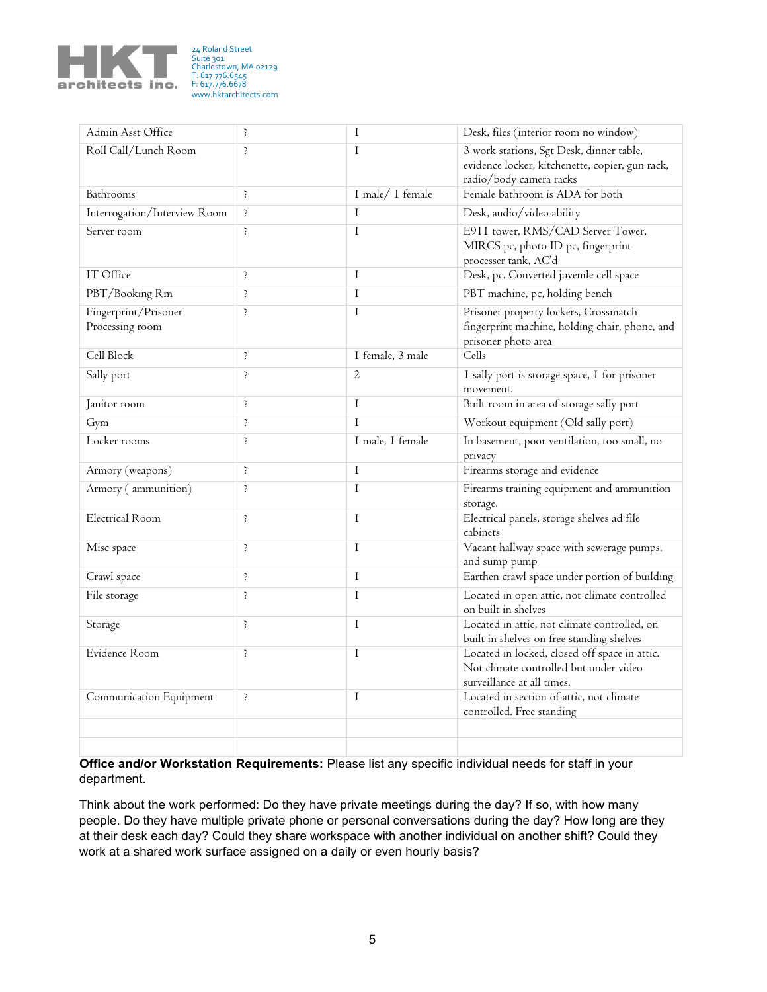

24 Roland Street Suite 301 Charlestown, MA 02129 T: 617.776.6545 F: 617.776.6678 www.hktarchitects.com

| Admin Asst Office                       | Þ          | I                | Desk, files (interior room no window)                                                                                  |
|-----------------------------------------|------------|------------------|------------------------------------------------------------------------------------------------------------------------|
| Roll Call/Lunch Room                    | Þ          | $\mathbf I$      | 3 work stations, Sgt Desk, dinner table,<br>evidence locker, kitchenette, copier, gun rack,<br>radio/body camera racks |
| Bathrooms                               | þ          | I male/ I female | Female bathroom is ADA for both                                                                                        |
| Interrogation/Interview Room            | Þ          | $\mathbf I$      | Desk, audio/video ability                                                                                              |
| Server room                             | Þ          | $\mathbf I$      | E911 tower, RMS/CAD Server Tower,<br>MIRCS pc, photo ID pc, fingerprint<br>processer tank, AC'd                        |
| IT Office                               | $\ddot{.}$ | $\bf I$          | Desk, pc. Converted juvenile cell space                                                                                |
| PBT/Booking Rm                          | $\ddot{.}$ | $\bf I$          | PBT machine, pc, holding bench                                                                                         |
| Fingerprint/Prisoner<br>Processing room | Þ          | $\mathbf I$      | Prisoner property lockers, Crossmatch<br>fingerprint machine, holding chair, phone, and<br>prisoner photo area         |
| Cell Block                              | Þ          | I female, 3 male | Cells                                                                                                                  |
| Sally port                              | $\ddot{.}$ | $\overline{2}$   | I sally port is storage space, I for prisoner<br>movement.                                                             |
| Janitor room                            | $\ddot{.}$ | $\mathbf I$      | Built room in area of storage sally port                                                                               |
| Gym                                     | þ          | $\mathbf I$      | Workout equipment (Old sally port)                                                                                     |
| Locker rooms                            | $\ddot{.}$ | I male, I female | In basement, poor ventilation, too small, no<br>privacy                                                                |
| Armory (weapons)                        | $\ddot{.}$ | $\mathbf I$      | Firearms storage and evidence                                                                                          |
| Armory (ammunition)                     | þ          | $\mathbf I$      | Firearms training equipment and ammunition<br>storage.                                                                 |
| <b>Electrical Room</b>                  | Þ          | $\mathbf{I}$     | Electrical panels, storage shelves ad file<br>cabinets                                                                 |
| Misc space                              | Þ          | $\mathbf I$      | Vacant hallway space with sewerage pumps,<br>and sump pump                                                             |
| Crawl space                             | $\ddot{.}$ | $\mathbf I$      | Earthen crawl space under portion of building                                                                          |
| File storage                            | Þ          | $\mathbf I$      | Located in open attic, not climate controlled<br>on built in shelves                                                   |
| Storage                                 | Þ          | $\mathbf I$      | Located in attic, not climate controlled, on<br>built in shelves on free standing shelves                              |
| Evidence Room                           | Þ          | I                | Located in locked, closed off space in attic.<br>Not climate controlled but under video<br>surveillance at all times.  |
| Communication Equipment                 | $\ddot{.}$ | $\mathbf I$      | Located in section of attic, not climate<br>controlled. Free standing                                                  |
|                                         |            |                  |                                                                                                                        |
|                                         |            |                  |                                                                                                                        |

**Office and/or Workstation Requirements:** Please list any specific individual needs for staff in your department.

Think about the work performed: Do they have private meetings during the day? If so, with how many people. Do they have multiple private phone or personal conversations during the day? How long are they at their desk each day? Could they share workspace with another individual on another shift? Could they work at a shared work surface assigned on a daily or even hourly basis?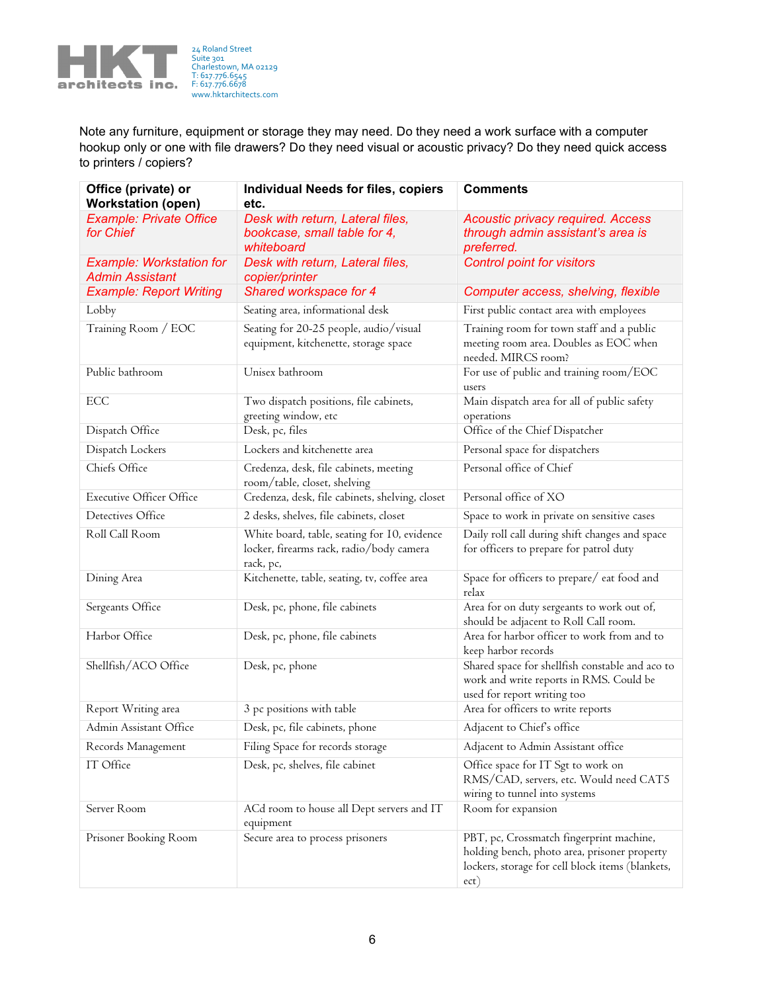

24 Roland Street Suite 301 Charlestown, MA 02129 T: 617.776.6545 F: 617.776.6678 www.hktarchitects.com

Note any furniture, equipment or storage they may need. Do they need a work surface with a computer hookup only or one with file drawers? Do they need visual or acoustic privacy? Do they need quick access to printers / copiers?

| Office (private) or<br><b>Workstation (open)</b>          | <b>Individual Needs for files, copiers</b><br>etc.                                                    | <b>Comments</b>                                                                                                                                      |  |  |  |  |
|-----------------------------------------------------------|-------------------------------------------------------------------------------------------------------|------------------------------------------------------------------------------------------------------------------------------------------------------|--|--|--|--|
| <b>Example: Private Office</b><br>for Chief               | Desk with return, Lateral files,<br>bookcase, small table for 4,<br>whiteboard                        | Acoustic privacy required. Access<br>through admin assistant's area is<br>preferred.                                                                 |  |  |  |  |
| <b>Example: Workstation for</b><br><b>Admin Assistant</b> | Desk with return, Lateral files,<br>copier/printer                                                    | <b>Control point for visitors</b>                                                                                                                    |  |  |  |  |
| <b>Example: Report Writing</b>                            | Shared workspace for 4                                                                                | Computer access, shelving, flexible                                                                                                                  |  |  |  |  |
| Lobby                                                     | Seating area, informational desk                                                                      | First public contact area with employees                                                                                                             |  |  |  |  |
| Training Room / EOC                                       | Seating for 20-25 people, audio/visual<br>equipment, kitchenette, storage space                       | Training room for town staff and a public<br>meeting room area. Doubles as EOC when<br>needed. MIRCS room?                                           |  |  |  |  |
| Public bathroom                                           | Unisex bathroom                                                                                       | For use of public and training room/EOC<br>users                                                                                                     |  |  |  |  |
| ECC                                                       | Two dispatch positions, file cabinets,<br>greeting window, etc                                        | Main dispatch area for all of public safety<br>operations                                                                                            |  |  |  |  |
| Dispatch Office                                           | Desk, pc, files                                                                                       | Office of the Chief Dispatcher                                                                                                                       |  |  |  |  |
| Dispatch Lockers                                          | Lockers and kitchenette area                                                                          | Personal space for dispatchers                                                                                                                       |  |  |  |  |
| Chiefs Office                                             | Credenza, desk, file cabinets, meeting<br>room/table, closet, shelving                                | Personal office of Chief                                                                                                                             |  |  |  |  |
| <b>Executive Officer Office</b>                           | Credenza, desk, file cabinets, shelving, closet                                                       | Personal office of XO                                                                                                                                |  |  |  |  |
| Detectives Office                                         | 2 desks, shelves, file cabinets, closet                                                               | Space to work in private on sensitive cases                                                                                                          |  |  |  |  |
| Roll Call Room                                            | White board, table, seating for 10, evidence<br>locker, firearms rack, radio/body camera<br>rack, pc, | Daily roll call during shift changes and space<br>for officers to prepare for patrol duty                                                            |  |  |  |  |
| Dining Area                                               | Kitchenette, table, seating, tv, coffee area                                                          | Space for officers to prepare/ eat food and<br>relax                                                                                                 |  |  |  |  |
| Sergeants Office                                          | Desk, pc, phone, file cabinets                                                                        | Area for on duty sergeants to work out of,<br>should be adjacent to Roll Call room.                                                                  |  |  |  |  |
| Harbor Office                                             | Desk, pc, phone, file cabinets                                                                        | Area for harbor officer to work from and to<br>keep harbor records                                                                                   |  |  |  |  |
| Shellfish/ACO Office                                      | Desk, pc, phone                                                                                       | Shared space for shellfish constable and aco to<br>work and write reports in RMS. Could be<br>used for report writing too                            |  |  |  |  |
| Report Writing area                                       | 3 pc positions with table                                                                             | Area for officers to write reports                                                                                                                   |  |  |  |  |
| Admin Assistant Office                                    | Desk, pc, file cabinets, phone                                                                        | Adjacent to Chief's office                                                                                                                           |  |  |  |  |
| Records Management                                        | Filing Space for records storage                                                                      | Adjacent to Admin Assistant office                                                                                                                   |  |  |  |  |
| IT Office                                                 | Desk, pc, shelves, file cabinet                                                                       | Office space for IT Sgt to work on<br>RMS/CAD, servers, etc. Would need CAT5<br>wiring to tunnel into systems                                        |  |  |  |  |
| Server Room                                               | ACd room to house all Dept servers and IT<br>equipment                                                | Room for expansion                                                                                                                                   |  |  |  |  |
| Prisoner Booking Room                                     | Secure area to process prisoners                                                                      | PBT, pc, Crossmatch fingerprint machine,<br>holding bench, photo area, prisoner property<br>lockers, storage for cell block items (blankets,<br>ect) |  |  |  |  |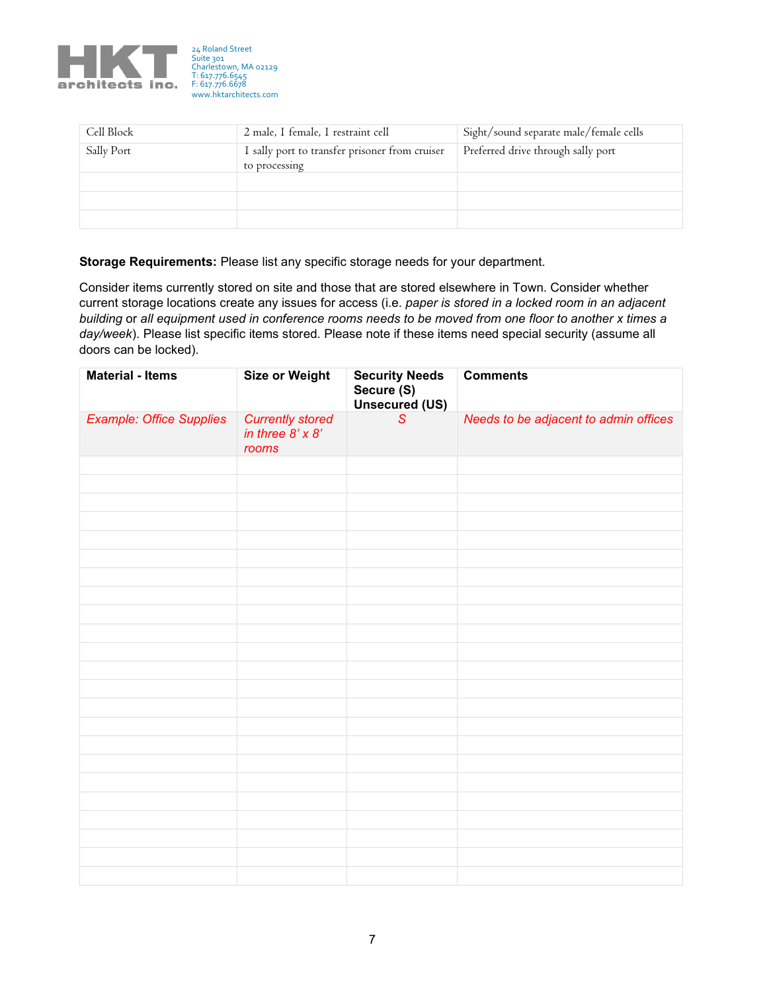

| Cell Block | 2 male, I female, I restraint cell                              | Sight/sound separate male/female cells |
|------------|-----------------------------------------------------------------|----------------------------------------|
| Sally Port | I sally port to transfer prisoner from cruiser<br>to processing | Preferred drive through sally port     |
|            |                                                                 |                                        |
|            |                                                                 |                                        |
|            |                                                                 |                                        |

**Storage Requirements:** Please list any specific storage needs for your department.

Consider items currently stored on site and those that are stored elsewhere in Town. Consider whether current storage locations create any issues for access (i.e. *paper is stored in a locked room in an adjacent building* or *all equipment used in conference rooms needs to be moved from one floor to another x times a day/week*). Please list specific items stored. Please note if these items need special security (assume all doors can be locked).

| <b>Material - Items</b>         | <b>Size or Weight</b>                                       | <b>Security Needs</b><br>Secure (S)<br>Unsecured (US) | <b>Comments</b>                       |  |  |  |  |
|---------------------------------|-------------------------------------------------------------|-------------------------------------------------------|---------------------------------------|--|--|--|--|
| <b>Example: Office Supplies</b> | <b>Currently stored</b><br>in three $8' \times 8'$<br>rooms | $\overline{\mathcal{S}}$                              | Needs to be adjacent to admin offices |  |  |  |  |
|                                 |                                                             |                                                       |                                       |  |  |  |  |
|                                 |                                                             |                                                       |                                       |  |  |  |  |
|                                 |                                                             |                                                       |                                       |  |  |  |  |
|                                 |                                                             |                                                       |                                       |  |  |  |  |
|                                 |                                                             |                                                       |                                       |  |  |  |  |
|                                 |                                                             |                                                       |                                       |  |  |  |  |
|                                 |                                                             |                                                       |                                       |  |  |  |  |
|                                 |                                                             |                                                       |                                       |  |  |  |  |
|                                 |                                                             |                                                       |                                       |  |  |  |  |
|                                 |                                                             |                                                       |                                       |  |  |  |  |
|                                 |                                                             |                                                       |                                       |  |  |  |  |
|                                 |                                                             |                                                       |                                       |  |  |  |  |
|                                 |                                                             |                                                       |                                       |  |  |  |  |
|                                 |                                                             |                                                       |                                       |  |  |  |  |
|                                 |                                                             |                                                       |                                       |  |  |  |  |
|                                 |                                                             |                                                       |                                       |  |  |  |  |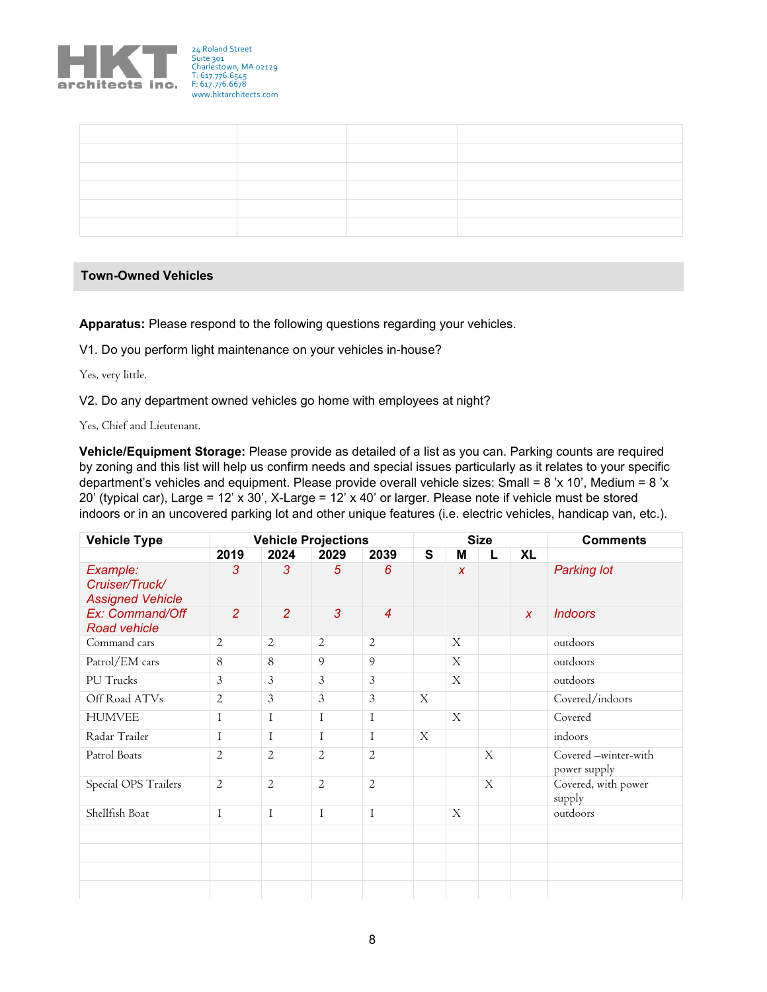

## **Town-Owned Vehicles**

**Apparatus:** Please respond to the following questions regarding your vehicles.

V1. Do you perform light maintenance on your vehicles in-house?

Yes, very little.

V2. Do any department owned vehicles go home with employees at night?

Yes, Chief and Lieutenant.

**Vehicle/Equipment Storage:** Please provide as detailed of a list as you can. Parking counts are required by zoning and this list will help us confirm needs and special issues particularly as it relates to your specific department's vehicles and equipment. Please provide overall vehicle sizes: Small = 8 'x 10', Medium = 8 'x 20' (typical car), Large = 12' x 30', X-Large = 12' x 40' or larger. Please note if vehicle must be stored indoors or in an uncovered parking lot and other unique features (i.e. electric vehicles, handicap van, etc.).

| <b>Vehicle Type</b>                                   |                | <b>Vehicle Projections</b> |                |                | <b>Size</b>  |                  |   |              | <b>Comments</b>                      |  |  |
|-------------------------------------------------------|----------------|----------------------------|----------------|----------------|--------------|------------------|---|--------------|--------------------------------------|--|--|
|                                                       | 2019           | 2024                       | 2029           | 2039           | S            | M                | L | <b>XL</b>    |                                      |  |  |
| Example:<br>Cruiser/Truck/<br><b>Assigned Vehicle</b> | 3              | 3                          | $\overline{5}$ | 6              |              | $\boldsymbol{x}$ |   |              | <b>Parking lot</b>                   |  |  |
| Ex: Command/Off<br><b>Road vehicle</b>                | $\overline{2}$ | $\overline{2}$             | 3              | $\overline{4}$ |              |                  |   | $\mathsf{X}$ | <b>Indoors</b>                       |  |  |
| Command cars                                          | 2              | 2                          | 2              | $\overline{2}$ |              | $\mathbf{X}$     |   |              | outdoors                             |  |  |
| Patrol/EM cars                                        | 8              | 8                          | 9              | $\overline{Q}$ |              | $\mathbf{X}$     |   |              | outdoors                             |  |  |
| PU Trucks                                             | 3              | $\mathfrak{Z}$             | 3              | $\mathfrak{Z}$ |              | $\mathbf{X}$     |   |              | outdoors                             |  |  |
| Off Road ATVs                                         | $\overline{2}$ | $\mathfrak{Z}$             | $\mathfrak{Z}$ | 3              | $\mathbf{X}$ |                  |   |              | Covered/indoors                      |  |  |
| <b>HUMVEE</b>                                         | I              | $\mathbf{I}$               | $\mathbf I$    | $\mathbf I$    |              | $\mathbf{X}$     |   |              | Covered                              |  |  |
| Radar Trailer                                         | I              | $\bf{I}$                   | $\bf{I}$       | $\bf{I}$       | X            |                  |   |              | indoors                              |  |  |
| Patrol Boats                                          | $\overline{2}$ | $\overline{2}$             | $\overline{2}$ | $\overline{2}$ |              |                  | X |              | Covered -winter-with<br>power supply |  |  |
| Special OPS Trailers                                  | $\overline{2}$ | $\overline{2}$             | $\overline{2}$ | $\overline{2}$ |              |                  | X |              | Covered, with power<br>supply        |  |  |
| Shellfish Boat                                        | $\mathbf{I}$   | $\rm I$                    | $\rm I$        | $\rm I$        |              | X                |   |              | outdoors                             |  |  |
|                                                       |                |                            |                |                |              |                  |   |              |                                      |  |  |
|                                                       |                |                            |                |                |              |                  |   |              |                                      |  |  |
|                                                       |                |                            |                |                |              |                  |   |              |                                      |  |  |
|                                                       |                |                            |                |                |              |                  |   |              |                                      |  |  |